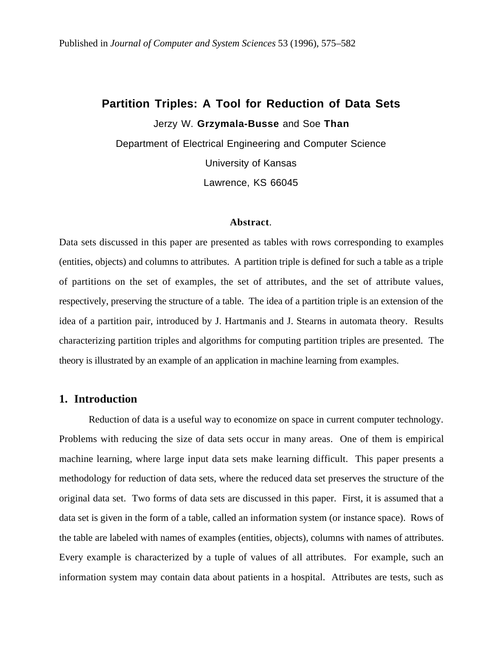## **Partition Triples: A Tool for Reduction of Data Sets**

Jerzy W. **Grzymala-Busse** and Soe **Than**

Department of Electrical Engineering and Computer Science University of Kansas Lawrence, KS 66045

#### **Abstract**.

Data sets discussed in this paper are presented as tables with rows corresponding to examples (entities, objects) and columns to attributes. A partition triple is defined for such a table as a triple of partitions on the set of examples, the set of attributes, and the set of attribute values, respectively, preserving the structure of a table. The idea of a partition triple is an extension of the idea of a partition pair, introduced by J. Hartmanis and J. Stearns in automata theory. Results characterizing partition triples and algorithms for computing partition triples are presented. The theory is illustrated by an example of an application in machine learning from examples.

### **1. Introduction**

Reduction of data is a useful way to economize on space in current computer technology. Problems with reducing the size of data sets occur in many areas. One of them is empirical machine learning, where large input data sets make learning difficult. This paper presents a methodology for reduction of data sets, where the reduced data set preserves the structure of the original data set. Two forms of data sets are discussed in this paper. First, it is assumed that a data set is given in the form of a table, called an information system (or instance space). Rows of the table are labeled with names of examples (entities, objects), columns with names of attributes. Every example is characterized by a tuple of values of all attributes. For example, such an information system may contain data about patients in a hospital. Attributes are tests, such as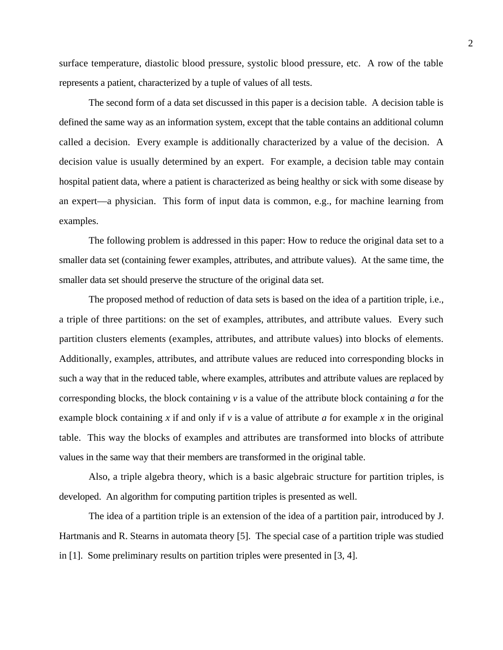surface temperature, diastolic blood pressure, systolic blood pressure, etc. A row of the table represents a patient, characterized by a tuple of values of all tests.

The second form of a data set discussed in this paper is a decision table. A decision table is defined the same way as an information system, except that the table contains an additional column called a decision. Every example is additionally characterized by a value of the decision. A decision value is usually determined by an expert. For example, a decision table may contain hospital patient data, where a patient is characterized as being healthy or sick with some disease by an expert—a physician. This form of input data is common, e.g., for machine learning from examples.

The following problem is addressed in this paper: How to reduce the original data set to a smaller data set (containing fewer examples, attributes, and attribute values). At the same time, the smaller data set should preserve the structure of the original data set.

The proposed method of reduction of data sets is based on the idea of a partition triple, i.e., a triple of three partitions: on the set of examples, attributes, and attribute values. Every such partition clusters elements (examples, attributes, and attribute values) into blocks of elements. Additionally, examples, attributes, and attribute values are reduced into corresponding blocks in such a way that in the reduced table, where examples, attributes and attribute values are replaced by corresponding blocks, the block containing *v* is a value of the attribute block containing *a* for the example block containing *x* if and only if *v* is a value of attribute *a* for example *x* in the original table. This way the blocks of examples and attributes are transformed into blocks of attribute values in the same way that their members are transformed in the original table.

Also, a triple algebra theory, which is a basic algebraic structure for partition triples, is developed. An algorithm for computing partition triples is presented as well.

The idea of a partition triple is an extension of the idea of a partition pair, introduced by J. Hartmanis and R. Stearns in automata theory [5]. The special case of a partition triple was studied in [1]. Some preliminary results on partition triples were presented in [3, 4].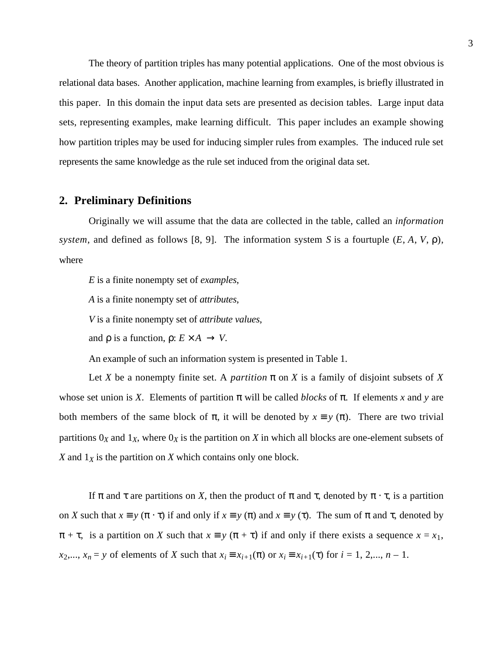The theory of partition triples has many potential applications. One of the most obvious is relational data bases. Another application, machine learning from examples, is briefly illustrated in this paper. In this domain the input data sets are presented as decision tables. Large input data sets, representing examples, make learning difficult. This paper includes an example showing how partition triples may be used for inducing simpler rules from examples. The induced rule set represents the same knowledge as the rule set induced from the original data set.

#### **2. Preliminary Definitions**

Originally we will assume that the data are collected in the table, called an *information system*, and defined as follows [8, 9]. The information system *S* is a fourtuple (*E*, *A*, *V*, ρ), where

*E* is a finite nonempty set of *examples*,

*A* is a finite nonempty set of *attributes*,

*V* is a finite nonempty set of *attribute values*,

and  $\rho$  is a function,  $\rho: E \times A \rightarrow V$ .

An example of such an information system is presented in Table 1.

Let *X* be a nonempty finite set. A *partition*  $\pi$  on *X* is a family of disjoint subsets of *X* whose set union is *X*. Elements of partition  $\pi$  will be called *blocks* of  $\pi$ . If elements *x* and *y* are both members of the same block of  $\pi$ , it will be denoted by  $x \equiv y(\pi)$ . There are two trivial partitions  $0_X$  and  $1_X$ , where  $0_X$  is the partition on *X* in which all blocks are one-element subsets of *X* and  $1_X$  is the partition on *X* which contains only one block.

If π and τ are partitions on *X*, then the product of π and τ, denoted by  $\pi \cdot \tau$ , is a partition on *X* such that  $x \equiv y (\pi \cdot \tau)$  if and only if  $x \equiv y (\pi)$  and  $x \equiv y (\tau)$ . The sum of  $\pi$  and  $\tau$ , denoted by  $\pi + \tau$ , is a partition on *X* such that  $x \equiv y (\pi + \tau)$  if and only if there exists a sequence  $x = x_1$ , *x*<sub>2</sub>,..., *x<sub>n</sub>* = *y* of elements of *X* such that  $x_i = x_{i+1}(\pi)$  or  $x_i = x_{i+1}(\pi)$  for  $i = 1, 2,..., n - 1$ .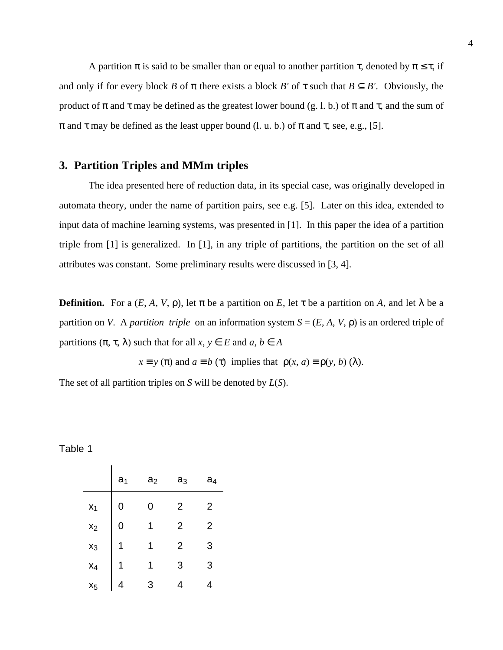A partition  $\pi$  is said to be smaller than or equal to another partition  $\tau$ , denoted by  $\pi \leq \tau$ , if and only if for every block *B* of  $\pi$  there exists a block *B'* of  $\tau$  such that  $B \subset B'$ . Obviously, the product of  $\pi$  and  $\tau$  may be defined as the greatest lower bound (g. l. b.) of  $\pi$  and  $\tau$ , and the sum of  $\pi$  and  $\tau$  may be defined as the least upper bound (l. u. b.) of  $\pi$  and  $\tau$ , see, e.g., [5].

## **3. Partition Triples and MMm triples**

The idea presented here of reduction data, in its special case, was originally developed in automata theory, under the name of partition pairs, see e.g. [5]. Later on this idea, extended to input data of machine learning systems, was presented in [1]. In this paper the idea of a partition triple from [1] is generalized. In [1], in any triple of partitions, the partition on the set of all attributes was constant. Some preliminary results were discussed in [3, 4].

**Definition.** For a  $(E, A, V, \rho)$ , let  $\pi$  be a partition on *E*, let  $\tau$  be a partition on *A*, and let  $\lambda$  be a partition on *V*. A *partition triple* on an information system  $S = (E, A, V, \rho)$  is an ordered triple of partitions  $(\pi, \tau, \lambda)$  such that for all  $x, y \in E$  and  $a, b \in A$ 

 $x \equiv y(\pi)$  and  $a \equiv b(\tau)$  implies that  $\rho(x, a) \equiv \rho(y, b)(\lambda)$ .

The set of all partition triples on *S* will be denoted by *L*(*S*).

#### Table 1

|       | a <sub>1</sub> | a <sub>2</sub> | aз | a4 |
|-------|----------------|----------------|----|----|
| $x_1$ |                | ი              | 2  | 2  |
| $x_2$ | C              | 1              | 2  | 2  |
| $x_3$ |                | 1              | 2  | 3  |
| $x_4$ |                | 1              | 3  | 3  |
| $X_5$ |                | З              |    |    |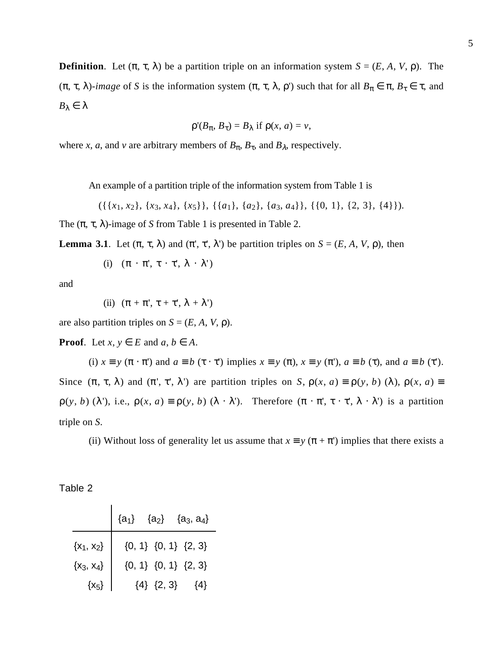**Definition**. Let  $(\pi, \tau, \lambda)$  be a partition triple on an information system  $S = (E, A, V, \rho)$ . The ( $\pi$ ,  $\tau$ ,  $\lambda$ )-*image* of *S* is the information system ( $\pi$ ,  $\tau$ ,  $\lambda$ ,  $\rho$ ) such that for all  $B_{\pi} \in \pi$ ,  $B_{\tau} \in \tau$ , and *B*λ ∈ λ

$$
\rho'(B_{\pi}, B_{\tau}) = B_{\lambda} \text{ if } \rho(x, a) = v,
$$

where *x*, *a*, and *v* are arbitrary members of  $B_\pi$ ,  $B_\tau$ , and  $B_\lambda$ , respectively.

An example of a partition triple of the information system from Table 1 is

 $({\{x_1, x_2\}, \{x_3, x_4\}, \{x_5\}\}, {\{a_1\}, \{a_2\}, \{a_3, a_4\}\}, {\{0, 1\}, \{2, 3\}, \{4\}\}).$ 

The  $(\pi, \tau, \lambda)$ -image of *S* from Table 1 is presented in Table 2.

**Lemma 3.1**. Let  $(π, τ, λ)$  and  $(π', τ', λ')$  be partition triples on  $S = (E, A, V, ρ)$ , then

(i)  $(\pi \cdot \pi', \tau \cdot \tau', \lambda \cdot \lambda')$ 

and

(ii) 
$$
(\pi + \pi', \tau + \tau', \lambda + \lambda')
$$

are also partition triples on  $S = (E, A, V, \rho)$ .

**Proof**. Let  $x, y \in E$  and  $a, b \in A$ .

(i)  $x \equiv y (\pi \cdot \pi')$  and  $a \equiv b (\tau \cdot \tau')$  implies  $x \equiv y (\pi), x \equiv y (\pi'), a \equiv b (\tau)$ , and  $a \equiv b (\tau')$ . Since  $(\pi, \tau, \lambda)$  and  $(\pi', \tau', \lambda')$  are partition triples on *S*,  $\rho(x, a) \equiv \rho(y, b)$  ( $\lambda$ ),  $\rho(x, a) \equiv$  $\rho(y, b)$  ( $\lambda'$ ), i.e.,  $\rho(x, a) \equiv \rho(y, b)$  ( $\lambda \cdot \lambda'$ ). Therefore  $(\pi \cdot \pi', \tau \cdot \tau', \lambda \cdot \lambda')$  is a partition triple on *S*.

(ii) Without loss of generality let us assume that  $x \equiv y (\pi + \pi')$  implies that there exists a

| abie |  |  |
|------|--|--|
|------|--|--|

|                |                | ${a_1}$ ${a_2}$ ${a_3, a_4}$ |
|----------------|----------------|------------------------------|
| $\{x_1, x_2\}$ |                | ${0, 1} {0, 1} {2, 3}$       |
| $\{x_3, x_4\}$ |                | ${0, 1} {0, 1} {2, 3}$       |
| $\{x_5\}$      | ${4}$ ${2, 3}$ | $\{4\}$                      |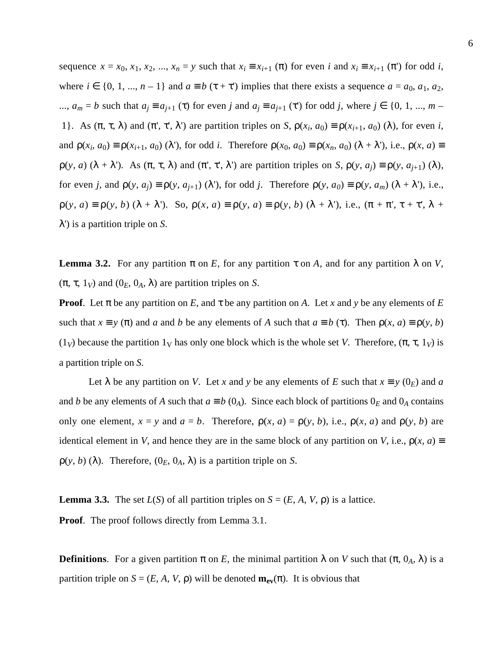sequence  $x = x_0, x_1, x_2, ..., x_n = y$  such that  $x_i \equiv x_{i+1} (\pi)$  for even *i* and  $x_i \equiv x_{i+1} (\pi)$  for odd *i*, where  $i \in \{0, 1, ..., n-1\}$  and  $a \equiv b(\tau + \tau)$  implies that there exists a sequence  $a = a_0, a_1, a_2$ , ...,  $a_m = b$  such that  $a_j \equiv a_{j+1}$  (τ) for even *j* and  $a_j \equiv a_{j+1}$  (τ) for odd *j*, where  $j \in \{0, 1, ..., m - 1\}$ 1}. As  $(\pi, \tau, \lambda)$  and  $(\pi', \tau', \lambda')$  are partition triples on *S*,  $\rho(x_i, a_0) \equiv \rho(x_{i+1}, a_0)$  ( $\lambda$ ), for even *i*, and  $\rho(x_i, a_0) \equiv \rho(x_{i+1}, a_0)$  ( $\lambda$ '), for odd *i*. Therefore  $\rho(x_0, a_0) \equiv \rho(x_n, a_0)$  ( $\lambda + \lambda$ '), i.e.,  $\rho(x, a) \equiv$  $\rho(y, a)$  ( $\lambda + \lambda'$ ). As  $(\pi, \tau, \lambda)$  and  $(\pi', \tau', \lambda')$  are partition triples on *S*,  $\rho(y, a_i) \equiv \rho(y, a_{i+1})$  ( $\lambda$ ), for even *j*, and  $\rho(y, a_i) \equiv \rho(y, a_{i+1})$  ( $\lambda$ '), for odd *j*. Therefore  $\rho(y, a_0) \equiv \rho(y, a_m)$  ( $\lambda + \lambda$ '), i.e.,  $\rho(y, a) \equiv \rho(y, b) (\lambda + \lambda')$ . So,  $\rho(x, a) \equiv \rho(y, a) \equiv \rho(y, b) (\lambda + \lambda')$ , i.e.,  $(\pi + \pi', \tau + \tau', \lambda + \tau')$ λ') is a partition triple on *S*.

**Lemma 3.2.** For any partition π on *E*, for any partition τ on *A*, and for any partition λ on *V*,  $(\pi, \tau, 1_V)$  and  $(0_E, 0_A, \lambda)$  are partition triples on *S*.

**Proof**. Let π be any partition on *E*, and τ be any partition on *A*. Let *x* and *y* be any elements of *E* such that  $x \equiv y(\pi)$  and *a* and *b* be any elements of *A* such that  $a \equiv b(\tau)$ . Then  $p(x, a) \equiv p(y, b)$ (1*v*) because the partition 1<sub>V</sub> has only one block which is the whole set *V*. Therefore,  $(\pi, \tau, 1_V)$  is a partition triple on *S*.

Let  $\lambda$  be any partition on *V*. Let *x* and *y* be any elements of *E* such that  $x \equiv y(0_E)$  and *a* and *b* be any elements of *A* such that  $a \equiv b$  (0<sub>*A*</sub>). Since each block of partitions 0<sub>*E*</sub> and 0<sub>*A*</sub> contains only one element,  $x = y$  and  $a = b$ . Therefore,  $\rho(x, a) = \rho(y, b)$ , i.e.,  $\rho(x, a)$  and  $\rho(y, b)$  are identical element in *V*, and hence they are in the same block of any partition on *V*, i.e.,  $\rho(x, a) =$  $\rho(y, b)$  ( $\lambda$ ). Therefore,  $(0_E, 0_A, \lambda)$  is a partition triple on *S*.

**Lemma 3.3.** The set  $L(S)$  of all partition triples on  $S = (E, A, V, \rho)$  is a lattice.

**Proof.** The proof follows directly from Lemma 3.1.

**Definitions.** For a given partition  $\pi$  on *E*, the minimal partition  $\lambda$  on *V* such that  $(\pi, 0_A, \lambda)$  is a partition triple on  $S = (E, A, V, \rho)$  will be denoted  $\mathbf{m}_{ev}(\pi)$ . It is obvious that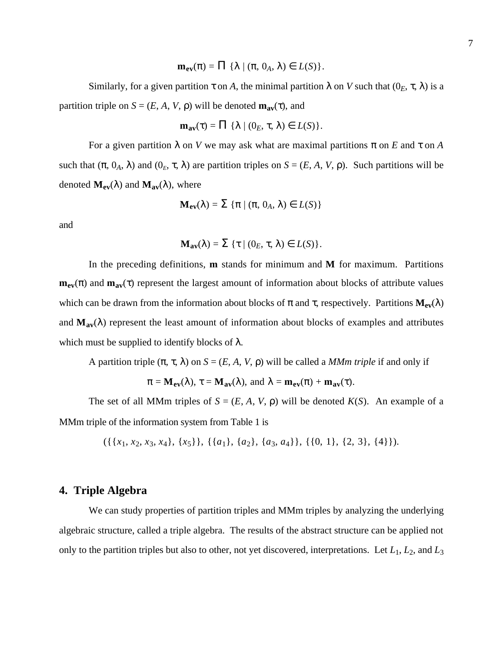$\mathbf{m}_{ev}(\pi) = \prod {\{\lambda \mid (\pi, 0_A, \lambda) \in L(S) \}}.$ 

Similarly, for a given partition  $\tau$  on A, the minimal partition  $\lambda$  on V such that  $(0_E, \tau, \lambda)$  is a partition triple on  $S = (E, A, V, \rho)$  will be denoted  $\mathbf{m}_{av}(\tau)$ , and

$$
\mathbf{m}_{\mathbf{av}}(\tau) = \Pi \{ \lambda \mid (0_E, \tau, \lambda) \in L(S) \}.
$$

For a given partition  $\lambda$  on *V* we may ask what are maximal partitions  $\pi$  on *E* and  $\tau$  on *A* such that  $(\pi, 0_A, \lambda)$  and  $(0_E, \tau, \lambda)$  are partition triples on  $S = (E, A, V, \rho)$ . Such partitions will be denoted  $M_{ev}(\lambda)$  and  $M_{av}(\lambda)$ , where

$$
\mathbf{M}_{ev}(\lambda) = \Sigma \{ \pi \mid (\pi, 0_A, \lambda) \in L(S) \}
$$

and

$$
\mathbf{M}_{av}(\lambda) = \Sigma \{ \tau \mid (0_E, \tau, \lambda) \in L(S) \}.
$$

In the preceding definitions, **m** stands for minimum and **M** for maximum. Partitions  $m_{ev}(\pi)$  and  $m_{av}(\tau)$  represent the largest amount of information about blocks of attribute values which can be drawn from the information about blocks of  $\pi$  and  $\tau$ , respectively. Partitions  $M_{ev}(\lambda)$ and  $M_{av}(\lambda)$  represent the least amount of information about blocks of examples and attributes which must be supplied to identify blocks of  $\lambda$ .

A partition triple  $(π, τ, λ)$  on  $S = (E, A, V, ρ)$  will be called a *MMm triple* if and only if

$$
\pi = \mathbf{M}_{ev}(\lambda), \tau = \mathbf{M}_{av}(\lambda), \text{ and } \lambda = \mathbf{m}_{ev}(\pi) + \mathbf{m}_{av}(\tau).
$$

The set of all MMm triples of  $S = (E, A, V, \rho)$  will be denoted  $K(S)$ . An example of a MMm triple of the information system from Table 1 is

 $({\{x_1, x_2, x_3, x_4\}, \{x_5\}\}, {\{a_1\}, \{a_2\}, \{a_3, a_4\}\}, {\{0, 1\}, \{2, 3\}, \{4\}\}).$ 

#### **4. Triple Algebra**

We can study properties of partition triples and MMm triples by analyzing the underlying algebraic structure, called a triple algebra. The results of the abstract structure can be applied not only to the partition triples but also to other, not yet discovered, interpretations. Let *L*1, *L*2, and *L*3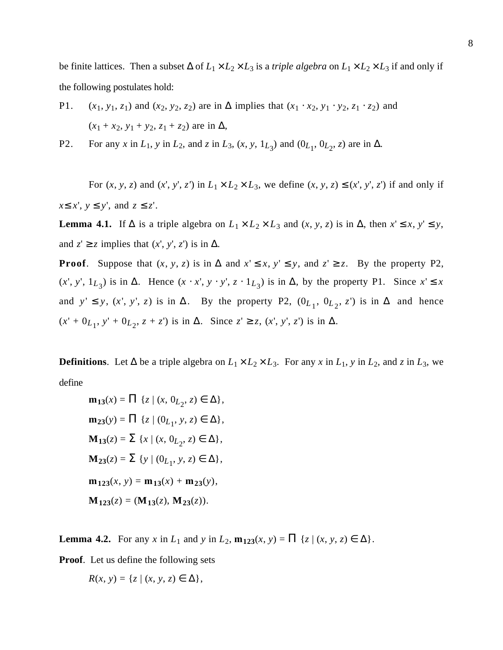be finite lattices. Then a subset  $\Delta$  of  $L_1 \times L_2 \times L_3$  is a *triple algebra* on  $L_1 \times L_2 \times L_3$  if and only if the following postulates hold:

- P1.  $(x_1, y_1, z_1)$  and  $(x_2, y_2, z_2)$  are in  $\Delta$  implies that  $(x_1 \cdot x_2, y_1 \cdot y_2, z_1 \cdot z_2)$  and  $(x_1 + x_2, y_1 + y_2, z_1 + z_2)$  are in  $\Delta$ ,
- P2. For any *x* in  $L_1$ , *y* in  $L_2$ , and *z* in  $L_3$ ,  $(x, y, 1_{L_3})$  and  $(0_{L_1}, 0_{L_2}, z)$  are in  $\Delta$ .

For  $(x, y, z)$  and  $(x', y', z')$  in  $L_1 \times L_2 \times L_3$ , we define  $(x, y, z) \leq (x', y', z')$  if and only if *x*≤ *x*', *y* ≤ *y*', and *z* ≤ *z*'.

**Lemma 4.1.** If  $\Delta$  is a triple algebra on  $L_1 \times L_2 \times L_3$  and  $(x, y, z)$  is in  $\Delta$ , then  $x' \le x, y' \le y$ , and  $z' \geq z$  implies that  $(x', y', z')$  is in  $\Delta$ .

**Proof.** Suppose that  $(x, y, z)$  is in  $\Delta$  and  $x' \le x, y' \le y$ , and  $z' \ge z$ . By the property P2,  $(x', y', 1_{L_3})$  is in  $\Delta$ . Hence  $(x \cdot x', y \cdot y', z \cdot 1_{L_3})$  is in  $\Delta$ , by the property P1. Since  $x' \leq x$ and *y*'  $\leq$  *y*, (*x'*, *y'*, *z*) is in  $\Delta$ . By the property P2, (0<sub>*L*<sub>1</sub></sub>, 0<sub>*L*<sub>2</sub></sub>, *z'*) is in  $\Delta$  and hence  $(x' + 0_{L_1}, y' + 0_{L_2}, z + z'$  is in  $\Delta$ . Since  $z' \ge z$ ,  $(x', y', z')$  is in  $\Delta$ .

**Definitions**. Let ∆ be a triple algebra on  $L_1 \times L_2 \times L_3$ . For any *x* in  $L_1$ , *y* in  $L_2$ , and *z* in  $L_3$ , we define

$$
\mathbf{m}_{13}(x) = \Pi \{ z \mid (x, 0_{L_2}, z) \in \Delta \},
$$
  
\n
$$
\mathbf{m}_{23}(y) = \Pi \{ z \mid (0_{L_1}, y, z) \in \Delta \},
$$
  
\n
$$
\mathbf{M}_{13}(z) = \Sigma \{ x \mid (x, 0_{L_2}, z) \in \Delta \},
$$
  
\n
$$
\mathbf{M}_{23}(z) = \Sigma \{ y \mid (0_{L_1}, y, z) \in \Delta \},
$$
  
\n
$$
\mathbf{m}_{123}(x, y) = \mathbf{m}_{13}(x) + \mathbf{m}_{23}(y),
$$
  
\n
$$
\mathbf{M}_{123}(z) = (\mathbf{M}_{13}(z), \mathbf{M}_{23}(z)).
$$

**Lemma 4.2.** For any *x* in *L*<sub>1</sub> and *y* in *L*<sub>2</sub>,  $\mathbf{m}_{123}(x, y) = \prod \{z | (x, y, z) \in \Delta\}.$ 

**Proof**. Let us define the following sets

 $R(x, y) = \{z \mid (x, y, z) \in \Delta\},\$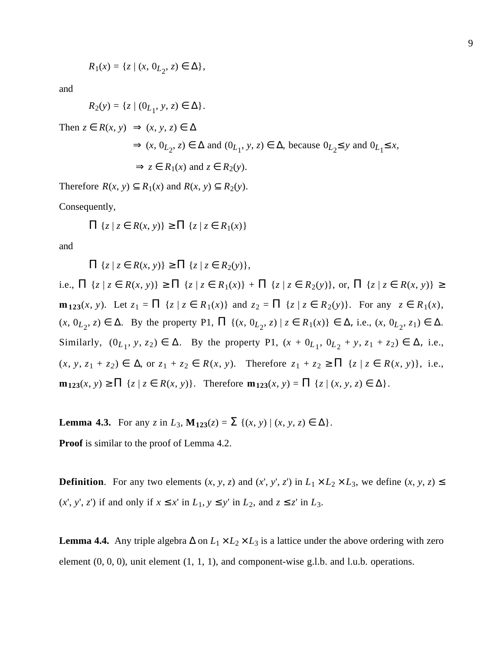$$
R_1(x) = \{z \mid (x, 0_{L_2}, z) \in \Delta\},\
$$

and

$$
R_2(y)=\{z\mid (0_{L_1},\,y,\,z)\in\,\Delta\}.
$$

Then 
$$
z \in R(x, y) \implies (x, y, z) \in \Delta
$$
  
\n $\implies (x, 0_{L_2}, z) \in \Delta \text{ and } (0_{L_1}, y, z) \in \Delta \text{, because } 0_{L_2} \leq y \text{ and } 0_{L_1} \leq x,$   
\n $\implies z \in R_1(x) \text{ and } z \in R_2(y).$ 

Therefore  $R(x, y) \subseteq R_1(x)$  and  $R(x, y) \subseteq R_2(y)$ .

Consequently,

$$
\Pi \{ z \mid z \in R(x, y) \} \ge \Pi \{ z \mid z \in R_1(x) \}
$$

and

 $\Pi \{z \mid z \in R(x, y)\} \geq \Pi \{z \mid z \in R_2(y)\},\$ 

i.e.,  $\Pi \{z \mid z \in R(x, y)\} \ge \Pi \{z \mid z \in R_1(x)\} + \Pi \{z \mid z \in R_2(y)\}$ , or,  $\Pi \{z \mid z \in R(x, y)\} \ge$ **m**<sub>123</sub>(*x*, *y*). Let  $z_1 = \prod \{z | z \in R_1(x)\}$  and  $z_2 = \prod \{z | z \in R_2(y)\}$ . For any  $z \in R_1(x)$ ,  $(x, 0_{L_2}, z) \in \Delta$ . By the property P1,  $\Pi$   $\{(x, 0_{L_2}, z) \mid z \in R_1(x)\}\in \Delta$ , i.e.,  $(x, 0_{L_2}, z_1) \in \Delta$ . Similarly,  $(0_{L_1}, y, z_2) \in \Delta$ . By the property P1,  $(x + 0_{L_1}, 0_{L_2} + y, z_1 + z_2) \in \Delta$ , i.e., (*x*, *y*, *z*1 + *z2*) ∈ ∆, or *z*1 + *z*<sup>2</sup> ∈ *R*(*x*, *y*). Therefore *z*1 + *z*<sup>2</sup> ≥ Π {*z* | *z* ∈ *R*(*x*, *y*)}, i.e.,  $m_{123}(x, y) \ge \prod \{z \mid z \in R(x, y)\}.$  Therefore  $m_{123}(x, y) = \prod \{z \mid (x, y, z) \in \Delta\}.$ 

**Lemma 4.3.** For any *z* in *L*<sub>3</sub>, **M**<sub>123</sub>(*z*) =  $\sum$  {(*x*, *y*) | (*x*, *y*, *z*)  $\in \Delta$ }.

**Proof** is similar to the proof of Lemma 4.2.

**Definition**. For any two elements  $(x, y, z)$  and  $(x', y', z')$  in  $L_1 \times L_2 \times L_3$ , we define  $(x, y, z) \leq$  $(x', y', z')$  if and only if  $x \leq x'$  in  $L_1, y \leq y'$  in  $L_2$ , and  $z \leq z'$  in  $L_3$ .

**Lemma 4.4.** Any triple algebra  $\Delta$  on  $L_1 \times L_2 \times L_3$  is a lattice under the above ordering with zero element  $(0, 0, 0)$ , unit element  $(1, 1, 1)$ , and component-wise g.l.b. and l.u.b. operations.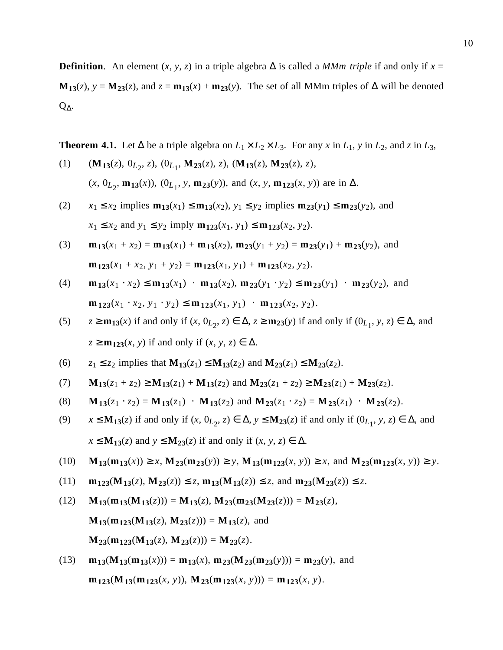**Definition**. An element  $(x, y, z)$  in a triple algebra  $\Delta$  is called a *MMm triple* if and only if  $x =$ **M**<sub>13</sub>(*z*), *y* = **M**<sub>23</sub>(*z*), and *z* = **m**<sub>13</sub>(*x*) + **m**<sub>23</sub>(*y*). The set of all MMm triples of ∆ will be denoted Q∆.

**Theorem 4.1.** Let ∆ be a triple algebra on  $L_1 \times L_2 \times L_3$ . For any *x* in  $L_1$ , *y* in  $L_2$ , and *z* in  $L_3$ ,

- (1)  $(\mathbf{M}_{13}(z), 0_{L_2}, z), (0_{L_1}, \mathbf{M}_{23}(z), z), (\mathbf{M}_{13}(z), \mathbf{M}_{23}(z), z),$  $(x, 0_{L_2}, \mathbf{m}_{13}(x))$ ,  $(0_{L_1}, y, \mathbf{m}_{23}(y))$ , and  $(x, y, \mathbf{m}_{123}(x, y))$  are in  $\Delta$ .
- (2)  $x_1 \le x_2$  implies  $\mathbf{m}_{13}(x_1) \le \mathbf{m}_{13}(x_2)$ ,  $y_1 \le y_2$  implies  $\mathbf{m}_{23}(y_1) \le \mathbf{m}_{23}(y_2)$ , and  $x_1 \leq x_2$  and  $y_1 \leq y_2$  imply  $\mathbf{m}_{123}(x_1, y_1) \leq \mathbf{m}_{123}(x_2, y_2)$ .

(3) 
$$
\mathbf{m}_{13}(x_1 + x_2) = \mathbf{m}_{13}(x_1) + \mathbf{m}_{13}(x_2), \mathbf{m}_{23}(y_1 + y_2) = \mathbf{m}_{23}(y_1) + \mathbf{m}_{23}(y_2)
$$
, and  
\n $\mathbf{m}_{123}(x_1 + x_2, y_1 + y_2) = \mathbf{m}_{123}(x_1, y_1) + \mathbf{m}_{123}(x_2, y_2)$ .

(4) 
$$
\mathbf{m}_{13}(x_1 \cdot x_2) \le \mathbf{m}_{13}(x_1) \cdot \mathbf{m}_{13}(x_2), \mathbf{m}_{23}(y_1 \cdot y_2) \le \mathbf{m}_{23}(y_1) \cdot \mathbf{m}_{23}(y_2)
$$
, and  
\n $\mathbf{m}_{123}(x_1 \cdot x_2, y_1 \cdot y_2) \le \mathbf{m}_{123}(x_1, y_1) \cdot \mathbf{m}_{123}(x_2, y_2).$ 

- (5)  $z \ge m_{13}(x)$  if and only if  $(x, 0_{L_2}, z) \in \Delta$ ,  $z \ge m_{23}(y)$  if and only if  $(0_{L_1}, y, z) \in \Delta$ , and  $z \ge m_{123}(x, y)$  if and only if  $(x, y, z) \in \Delta$ .
- (6)  $z_1 \leq z_2$  implies that  $M_{13}(z_1) \leq M_{13}(z_2)$  and  $M_{23}(z_1) \leq M_{23}(z_2)$ .
- (7)  $M_{13}(z_1 + z_2) \ge M_{13}(z_1) + M_{13}(z_2)$  and  $M_{23}(z_1 + z_2) \ge M_{23}(z_1) + M_{23}(z_2)$ .
- (8)  $M_{13}(z_1 \cdot z_2) = M_{13}(z_1) \cdot M_{13}(z_2)$  and  $M_{23}(z_1 \cdot z_2) = M_{23}(z_1) \cdot M_{23}(z_2)$ .
- (9)  $x \le M_{13}(z)$  if and only if  $(x, 0_{L_2}, z) \in \Delta$ ,  $y \le M_{23}(z)$  if and only if  $(0_{L_1}, y, z) \in \Delta$ , and  $x \leq M_{13}(z)$  and  $y \leq M_{23}(z)$  if and only if  $(x, y, z) \in \Delta$ .
- (10)  $M_{13}(m_{13}(x)) \ge x$ ,  $M_{23}(m_{23}(y)) \ge y$ ,  $M_{13}(m_{123}(x, y)) \ge x$ , and  $M_{23}(m_{123}(x, y)) \ge y$ .
- (11)  $\mathbf{m}_{123}(\mathbf{M}_{13}(z), \mathbf{M}_{23}(z)) \le z, \mathbf{m}_{13}(\mathbf{M}_{13}(z)) \le z$ , and  $\mathbf{m}_{23}(\mathbf{M}_{23}(z)) \le z$ .
- $M_{13}(\mathbf{m}_{13}(\mathbf{M}_{13}(z))) = \mathbf{M}_{13}(z), \mathbf{M}_{23}(\mathbf{m}_{23}(\mathbf{M}_{23}(z))) = \mathbf{M}_{23}(z),$  $M_{13}(m_{123}(M_{13}(z), M_{23}(z))) = M_{13}(z)$ , and  $M_{23}(m_{123}(M_{13}(z), M_{23}(z))) = M_{23}(z).$
- (13) **m**<sub>13</sub>( $M_{13}(m_{13}(x))$ ) = **m**<sub>13</sub>(*x*), **m**<sub>23</sub>( $M_{23}(m_{23}(y))$ ) = **m**<sub>23</sub>(*y*), and  $\mathbf{m}_{123}(\mathbf{M}_{13}(\mathbf{m}_{123}(x, y)), \mathbf{M}_{23}(\mathbf{m}_{123}(x, y))) = \mathbf{m}_{123}(x, y).$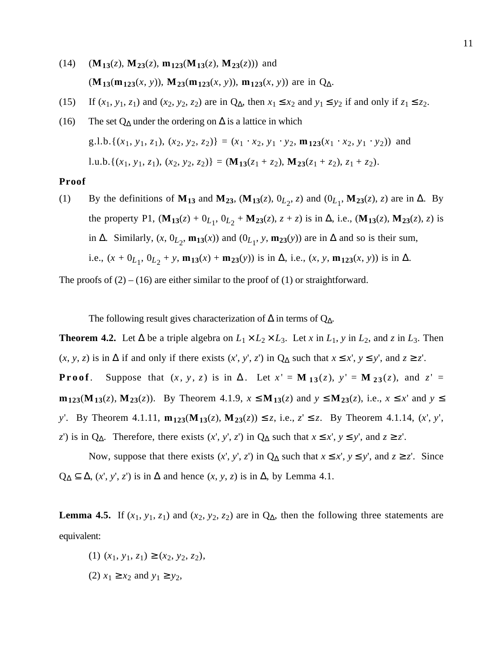- $(14)$   $(\mathbf{M}_{13}(z), \mathbf{M}_{23}(z), \mathbf{m}_{123}(\mathbf{M}_{13}(z), \mathbf{M}_{23}(z)))$  and (**M**<sub>13</sub>(**m**<sub>123</sub>(*x*, *y*)), **M**<sub>23</sub>(**m**<sub>123</sub>(*x*, *y*)), **m**<sub>123</sub>(*x*, *y*)) are in Q<sub>∆</sub>.
- (15) If  $(x_1, y_1, z_1)$  and  $(x_2, y_2, z_2)$  are in  $Q_{\Delta}$ , then  $x_1 \le x_2$  and  $y_1 \le y_2$  if and only if  $z_1 \le z_2$ .
- (16) The set Q<sub>∆</sub> under the ordering on  $\Delta$  is a lattice in which  $g.l.b.\{(x_1, y_1, z_1), (x_2, y_2, z_2)\} = (x_1 \cdot x_2, y_1 \cdot y_2, \mathbf{m}_{123}(x_1 \cdot x_2, y_1 \cdot y_2))$  and l.u.b.{( $x_1, y_1, z_1$ ), ( $x_2, y_2, z_2$ )} = ( $\mathbf{M}_{13}(z_1 + z_2)$ ,  $\mathbf{M}_{23}(z_1 + z_2)$ ,  $z_1 + z_2$ ).

#### **Proof**

(1) By the definitions of **M<sub>13</sub>** and **M<sub>23</sub>**, (**M<sub>13</sub>**(*z*), 0<sub>*L*<sub>2</sub></sub>, *z*) and (0<sub>*L*<sub>1</sub></sub>, **M<sub>23</sub>**(*z*), *z*) are in  $\Delta$ . By the property P1,  $(M_{13}(z) + 0_{L_1}, 0_{L_2} + M_{23}(z), z + z)$  is in  $\Delta$ , i.e.,  $(M_{13}(z), M_{23}(z), z)$  is in ∆. Similarly,  $(x, 0<sub>L</sub><sub>2</sub>, m<sub>13</sub>(x))$  and  $(0<sub>L</sub><sub>1</sub>, y, m<sub>23</sub>(y))$  are in ∆ and so is their sum, i.e.,  $(x + 0_{L_1}, 0_{L_2} + y, \mathbf{m}_{13}(x) + \mathbf{m}_{23}(y))$  is in  $\Delta$ , i.e.,  $(x, y, \mathbf{m}_{123}(x, y))$  is in  $\Delta$ .

The proofs of  $(2) - (16)$  are either similar to the proof of  $(1)$  or straightforward.

The following result gives characterization of  $\Delta$  in terms of  $Q_{\Delta}$ .

**Theorem 4.2.** Let ∆ be a triple algebra on  $L_1 \times L_2 \times L_3$ . Let *x* in  $L_1$ , *y* in  $L_2$ , and *z* in  $L_3$ . Then (*x*, *y*, *z*) is in ∆ if and only if there exists (*x*', *y*', *z*') in  $Q_∆$  such that  $x ≤ x'$ ,  $y ≤ y'$ , and  $z ≥ z'$ .

**Proof**. Suppose that  $(x, y, z)$  is in  $\Delta$ . Let  $x' = M_{13}(z), y' = M_{23}(z),$  and  $z' =$ **m**<sub>123</sub>(**M**<sub>13</sub>(*z*), **M**<sub>23</sub>(*z*)). By Theorem 4.1.9, *x* ≤ **M**<sub>13</sub>(*z*) and *y* ≤ **M**<sub>23</sub>(*z*), i.e., *x* ≤ *x*' and *y* ≤ *y*'. By Theorem 4.1.11,  $\mathbf{m}_{123}(\mathbf{M}_{13}(z), \mathbf{M}_{23}(z))$  ≤ *z*, i.e., *z*' ≤ *z*. By Theorem 4.1.14, (*x*', *y*', *z*') is in Q∆. Therefore, there exists  $(x', y', z')$  in Q∆ such that  $x \le x', y \le y'$ , and  $z \ge z'$ .

Now, suppose that there exists  $(x', y', z')$  in  $Q_{\Delta}$  such that  $x \le x', y \le y'$ , and  $z \ge z'$ . Since  $Q_{\Delta} \subseteq \Delta$ ,  $(x', y', z')$  is in  $\Delta$  and hence  $(x, y, z)$  is in  $\Delta$ , by Lemma 4.1.

**Lemma 4.5.** If  $(x_1, y_1, z_1)$  and  $(x_2, y_2, z_2)$  are in  $Q_{\Delta}$ , then the following three statements are equivalent:

- (1)  $(x_1, y_1, z_1)$  ≥  $(x_2, y_2, z_2)$ ,
- (2) *x*<sub>1</sub> ≥ *x*<sub>2</sub> and *y*<sub>1</sub> ≥ *y*<sub>2</sub>,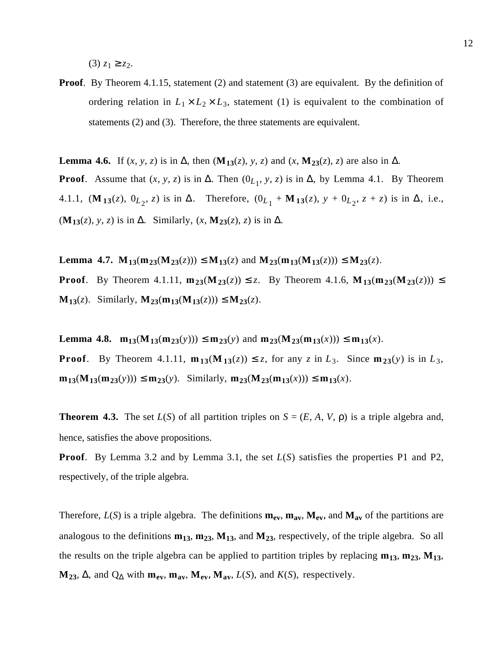$(3)$  *z*<sub>1</sub> ≥ *z*<sub>2</sub>.

**Proof.** By Theorem 4.1.15, statement (2) and statement (3) are equivalent. By the definition of ordering relation in  $L_1 \times L_2 \times L_3$ , statement (1) is equivalent to the combination of statements (2) and (3). Therefore, the three statements are equivalent.

**Lemma 4.6.** If  $(x, y, z)$  is in  $\Delta$ , then  $(\mathbf{M}_{13}(z), y, z)$  and  $(x, \mathbf{M}_{23}(z), z)$  are also in  $\Delta$ . **Proof.** Assume that  $(x, y, z)$  is in  $\Delta$ . Then  $(0_{L_1}, y, z)$  is in  $\Delta$ , by Lemma 4.1. By Theorem 4.1.1, (**M**<sub>13</sub>(*z*), 0<sub>*L*<sub>2</sub></sub>, *z*) is in ∆. Therefore, (0<sub>*L*<sub>1</sub></sub> + **M**<sub>13</sub>(*z*), *y* + 0<sub>*L*<sub>2</sub>, *z* + *z*) is in ∆, i.e.,</sub> (**M**<sub>13</sub>(*z*), *y*, *z*) is in  $\Delta$ . Similarly, (*x*, **M**<sub>23</sub>(*z*), *z*) is in  $\Delta$ .

**Lemma 4.7. M**<sub>13</sub>(**m**<sub>23</sub>(*M***<sub>23</sub>(***z***))) ≤ <b>M**<sub>13</sub>(*z*) and **M**<sub>23</sub>(**m**<sub>13</sub>(**M**<sub>13</sub>(*z*))) ≤ **M**<sub>23</sub>(*z*). **Proof.** By Theorem 4.1.11,  $m_{23}(M_{23}(z))$  ≤ *z*. By Theorem 4.1.6,  $M_{13}(m_{23}(M_{23}(z)))$  ≤ **M**<sub>13</sub>(*z*). Similarly, **M**<sub>23</sub>(**m**<sub>13</sub>(**M**<sub>13</sub>(*z*)))  $\leq$  **M**<sub>23</sub>(*z*).

**Lemma 4.8.**  $m_{13}(M_{13}(m_{23}(y))) \le m_{23}(y)$  and  $m_{23}(M_{23}(m_{13}(x))) \le m_{13}(x)$ . **Proof.** By Theorem 4.1.11,  $\mathbf{m}_{13}(\mathbf{M}_{13}(z)) \leq z$ , for any *z* in  $L_3$ . Since  $\mathbf{m}_{23}(y)$  is in  $L_3$ , **m**<sub>13</sub>(**M**<sub>13</sub>(**m**<sub>23</sub>(*y*))) ≤ **m**<sub>23</sub>(*y*). Similarly, **m**<sub>23</sub>(**M**<sub>23</sub>(**m**<sub>13</sub>(*x*))) ≤ **m**<sub>13</sub>(*x*).

**Theorem 4.3.** The set  $L(S)$  of all partition triples on  $S = (E, A, V, \rho)$  is a triple algebra and, hence, satisfies the above propositions.

**Proof**. By Lemma 3.2 and by Lemma 3.1, the set *L*(*S*) satisfies the properties P1 and P2, respectively, of the triple algebra.

Therefore,  $L(S)$  is a triple algebra. The definitions  $m_{ev}$ ,  $m_{av}$ ,  $M_{ev}$ , and  $M_{av}$  of the partitions are analogous to the definitions **m13**, **m23**, **M13**, and **M23**, respectively, of the triple algebra. So all the results on the triple algebra can be applied to partition triples by replacing  $m_{13}$ ,  $m_{23}$ ,  $M_{13}$ ,  $M_{23}$ ,  $\Delta$ , and  $Q_{\Delta}$  with  $m_{ev}$ ,  $m_{av}$ ,  $M_{ev}$ ,  $M_{av}$ ,  $L(S)$ , and  $K(S)$ , respectively.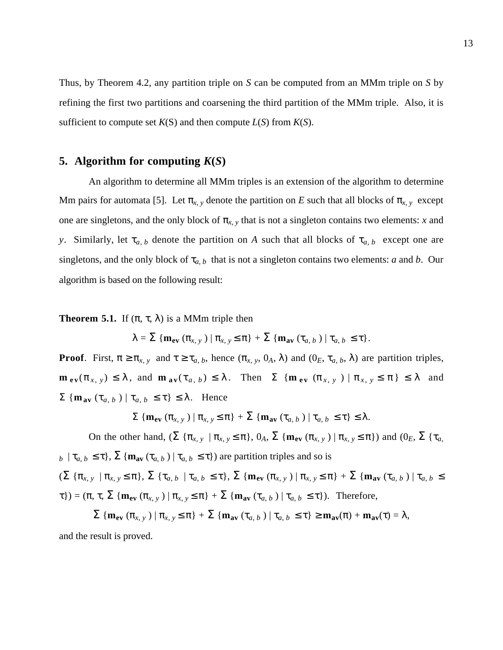Thus, by Theorem 4.2, any partition triple on *S* can be computed from an MMm triple on *S* by refining the first two partitions and coarsening the third partition of the MMm triple. Also, it is sufficient to compute set  $K(S)$  and then compute  $L(S)$  from  $K(S)$ .

### **5.** Algorithm for computing  $K(S)$

An algorithm to determine all MMm triples is an extension of the algorithm to determine Mm pairs for automata [5]. Let  $\pi_{x,y}$  denote the partition on *E* such that all blocks of  $\pi_{x,y}$  except one are singletons, and the only block of  $\pi_{x,y}$  that is not a singleton contains two elements: *x* and *y*. Similarly, let  $\tau_{a,b}$  denote the partition on *A* such that all blocks of  $\tau_{a,b}$  except one are singletons, and the only block of  $\tau_{a,b}$  that is not a singleton contains two elements: *a* and *b*. Our algorithm is based on the following result:

**Theorem 5.1.** If  $(\pi, \tau, \lambda)$  is a MMm triple then

$$
\lambda = \sum \{ \mathbf{m}_{ev} (\pi_{x, y}) \mid \pi_{x, y} \leq \pi \} + \sum \{ \mathbf{m}_{av} (\tau_{a, b}) \mid \tau_{a, b} \leq \tau \}.
$$

**Proof**. First,  $\pi \ge \pi_{x,y}$  and  $\tau \ge \tau_{a,b}$ , hence  $(\pi_{x,y}, 0_A, \lambda)$  and  $(0_E, \tau_{a,b}, \lambda)$  are partition triples,  $\mathbf{m}_{ev}(\pi_{x, y}) \leq \lambda$ , and  $\mathbf{m}_{av}(\tau_{a, b}) \leq \lambda$ . Then  $\Sigma$  { $\mathbf{m}_{ev}(\pi_{x, y}) | \pi_{x, y} \leq \pi$ }  $\leq \lambda$  and  $\Sigma$  {**m**<sub>av</sub> (τ<sub>*a*, *b*</sub>) | τ<sub>*a*, *b*</sub> ≤ τ} ≤ λ. Hence

 $\Sigma \left\{ \mathbf{m}_{ev} \left( \pi_{x,y} \right) \mid \pi_{x,y} \leq \pi \right\} + \Sigma \left\{ \mathbf{m}_{av} \left( \tau_{a,b} \right) \mid \tau_{a,b} \leq \tau \right\} \leq \lambda.$ 

On the other hand,  $(\Sigma \{\pi_{x,y} \mid \pi_{x,y} \leq \pi\}, 0_A, \Sigma \{\mathbf{m}_{ev}(\pi_{x,y}) \mid \pi_{x,y} \leq \pi\})$  and  $(0_E, \Sigma \{\pi_a, \pi_{ev} \mid \pi_{ev}(\pi_{ev}, \pi_{ev}))\}$  $b \mid \tau_{a,b} \leq \tau$ ,  $\Sigma$  { $\mathbf{m}_{av}$  ( $\tau_{a,b}$ ) |  $\tau_{a,b} \leq \tau$ }) are partition triples and so is  $(\Sigma \{\pi_{x,y} \mid \pi_{x,y} \leq \pi\}, \Sigma \{\tau_{a,b} \mid \tau_{a,b} \leq \tau\}, \Sigma \{\mathbf{m}_{ev}(\pi_{x,y}) \mid \pi_{x,y} \leq \pi\} + \Sigma \{\mathbf{m}_{av}(\tau_{a,b}) \mid \tau_{a,b} \leq \tau\})$  $\{\tau\}$ ) = ( $\pi$ ,  $\tau$ ,  $\Sigma$  { $\mathbf{m}_{ev}$  ( $\pi_{x,y}$ ) |  $\pi_{x,y} \leq \pi$ } +  $\Sigma$  { $\mathbf{m}_{av}$  ( $\tau_{a,b}$ ) |  $\tau_{a,b} \leq \tau$ }). Therefore,

 $\sum \{m_{ev} (\pi_{x,y}) \mid \pi_{x,y} \leq \pi\} + \sum \{m_{av} (\tau_{a,b}) \mid \tau_{a,b} \leq \tau\} \geq m_{av}(\pi) + m_{av}(\tau) = \lambda$ , and the result is proved.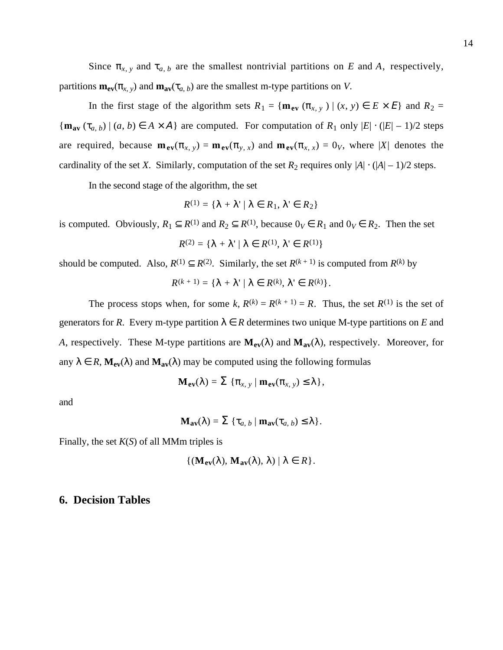Since  $\pi_{x, y}$  and  $\tau_{a, b}$  are the smallest nontrivial partitions on *E* and *A*, respectively, partitions  $\mathbf{m}_{ev}(\pi_{x, y})$  and  $\mathbf{m}_{av}(\pi_{a, b})$  are the smallest m-type partitions on *V*.

In the first stage of the algorithm sets  $R_1 = {\mathbf{m}_{ev} (\pi_{x,y}) | (x, y) \in E \times E}$  and  $R_2 =$  ${\bf m}_{\bf av}$  ( $\tau_{a, b}$ ) | (*a*, *b*)  $\in$  *A* × *A*} are computed. For computation of *R*<sub>1</sub> only  $|E| \cdot (|E| - 1)/2$  steps are required, because  $\mathbf{m}_{ev}(\pi_{x, y}) = \mathbf{m}_{ev}(\pi_{y, x})$  and  $\mathbf{m}_{ev}(\pi_{x, x}) = 0$ *y*, where |*X*| denotes the cardinality of the set *X*. Similarly, computation of the set  $R_2$  requires only  $|A| \cdot (|A| - 1)/2$  steps.

In the second stage of the algorithm, the set

$$
R^{(1)} = \{ \lambda + \lambda' \mid \lambda \in R_1, \lambda' \in R_2 \}
$$

is computed. Obviously,  $R_1 \subseteq R^{(1)}$  and  $R_2 \subseteq R^{(1)}$ , because  $0_V \in R_1$  and  $0_V \in R_2$ . Then the set

$$
R^{(2)} = \{ \lambda + \lambda' \mid \lambda \in R^{(1)}, \lambda' \in R^{(1)} \}
$$

should be computed. Also,  $R^{(1)} \subseteq R^{(2)}$ . Similarly, the set  $R^{(k+1)}$  is computed from  $R^{(k)}$  by

$$
R^{(k+1)} = \{\lambda + \lambda' \mid \lambda \in R^{(k)}, \lambda' \in R^{(k)}\}.
$$

The process stops when, for some  $k$ ,  $R^{(k)} = R^{(k+1)} = R$ . Thus, the set  $R^{(1)}$  is the set of generators for *R*. Every m-type partition  $\lambda \in R$  determines two unique M-type partitions on *E* and *A*, respectively. These M-type partitions are  $M_{ev}(\lambda)$  and  $M_{av}(\lambda)$ , respectively. Moreover, for any  $\lambda \in R$ ,  $M_{ev}(\lambda)$  and  $M_{av}(\lambda)$  may be computed using the following formulas

$$
\mathbf{M}_{ev}(\lambda) = \Sigma \{ \pi_{x, y} \mid \mathbf{m}_{ev}(\pi_{x, y}) \leq \lambda \},
$$

and

$$
\mathbf{M}_{\mathbf{av}}(\lambda) = \sum \{ \tau_{a, b} \mid \mathbf{m}_{\mathbf{av}}(\tau_{a, b}) \leq \lambda \}.
$$

Finally, the set *K*(*S*) of all MMm triples is

$$
\{(\mathbf{M}_{ev}(\lambda), \, \mathbf{M}_{av}(\lambda), \, \lambda) \mid \lambda \in R\}.
$$

#### **6. Decision Tables**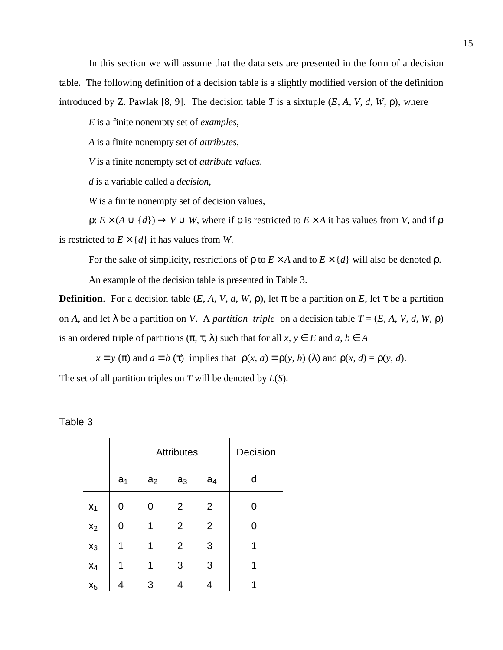In this section we will assume that the data sets are presented in the form of a decision table. The following definition of a decision table is a slightly modified version of the definition introduced by Z. Pawlak [8, 9]. The decision table *T* is a sixtuple  $(E, A, V, d, W, \rho)$ , where

*E* is a finite nonempty set of *examples*,

*A* is a finite nonempty set of *attributes*,

*V* is a finite nonempty set of *attribute values*,

*d* is a variable called a *decision*,

*W* is a finite nonempty set of decision values,

 $\rho: E \times (A \cup \{d\}) \to V \cup W$ , where if  $\rho$  is restricted to  $E \times A$  it has values from *V*, and if  $\rho$ is restricted to  $E \times \{d\}$  it has values from *W*.

For the sake of simplicity, restrictions of  $\rho$  to  $E \times A$  and to  $E \times \{d\}$  will also be denoted  $\rho$ .

An example of the decision table is presented in Table 3.

**Definition**. For a decision table  $(E, A, V, d, W, \rho)$ , let  $\pi$  be a partition on  $E$ , let  $\tau$  be a partition on *A*, and let  $\lambda$  be a partition on *V*. A *partition triple* on a decision table  $T = (E, A, V, d, W, \rho)$ is an ordered triple of partitions  $(\pi, \tau, \lambda)$  such that for all  $x, y \in E$  and  $a, b \in A$ 

 $x \equiv y(\pi)$  and  $a \equiv b(\tau)$  implies that  $\rho(x, a) \equiv \rho(y, b)(\lambda)$  and  $\rho(x, d) = \rho(y, d)$ .

The set of all partition triples on *T* will be denoted by *L*(*S*).

| able |  |
|------|--|
|------|--|

|       |                | <b>Attributes</b> | Decision       |                |   |
|-------|----------------|-------------------|----------------|----------------|---|
|       | a <sub>1</sub> | a <sub>2</sub>    | a <sub>3</sub> | a <sub>4</sub> | d |
| $x_1$ | 0              | 0                 | $\overline{2}$ | 2              | 0 |
| $x_2$ | 0              | 1                 | $\overline{2}$ | $\overline{2}$ | 0 |
| $x_3$ | 1              | 1                 | $\overline{2}$ | 3              | 1 |
| $x_4$ | 1              | 1                 | 3              | 3              | 1 |
| $x_5$ |                | 3                 | 4              | 4              |   |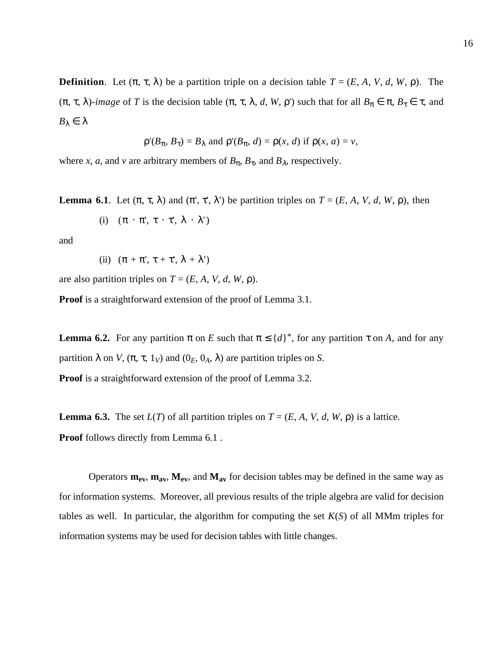**Definition**. Let  $(\pi, \tau, \lambda)$  be a partition triple on a decision table  $T = (E, A, V, d, W, \rho)$ . The ( $\pi$ ,  $\tau$ ,  $\lambda$ )*-image* of *T* is the decision table ( $\pi$ ,  $\tau$ ,  $\lambda$ ,  $d$ ,  $W$ ,  $\rho$ ) such that for all  $B_{\pi} \in \pi$ ,  $B_{\tau} \in \tau$ , and *B*<sub>λ</sub>  $\in$  λ

$$
\rho'(B_{\pi}, B_{\tau}) = B_{\lambda}
$$
 and  $\rho'(B_{\pi}, d) = \rho(x, d)$  if  $\rho(x, a) = v$ ,

where *x*, *a*, and *v* are arbitrary members of  $B_{\pi}$ ,  $B_{\tau}$ , and  $B_{\lambda}$ , respectively.

**Lemma 6.1**. Let  $(π, τ, λ)$  and  $(π', τ', λ')$  be partition triples on  $T = (E, A, V, d, W, ρ)$ , then

(i) 
$$
(\pi \cdot \pi', \tau \cdot \tau', \lambda \cdot \lambda')
$$

and

(ii) 
$$
(\pi + \pi', \tau + \tau', \lambda + \lambda')
$$

are also partition triples on  $T = (E, A, V, d, W, \rho)$ .

**Proof** is a straightforward extension of the proof of Lemma 3.1.

**Lemma 6.2.** For any partition  $\pi$  on *E* such that  $\pi \leq \{d\}^*$ , for any partition  $\tau$  on *A*, and for any partition  $\lambda$  on *V*,  $(\pi, \tau, 1_V)$  and  $(0_E, 0_A, \lambda)$  are partition triples on *S*.

**Proof** is a straightforward extension of the proof of Lemma 3.2.

**Lemma 6.3.** The set  $L(T)$  of all partition triples on  $T = (E, A, V, d, W, \rho)$  is a lattice. **Proof** follows directly from Lemma 6.1 .

Operators  $m_{ev}$ ,  $m_{av}$ ,  $M_{ev}$ , and  $M_{av}$  for decision tables may be defined in the same way as for information systems. Moreover, all previous results of the triple algebra are valid for decision tables as well. In particular, the algorithm for computing the set  $K(S)$  of all MMm triples for information systems may be used for decision tables with little changes.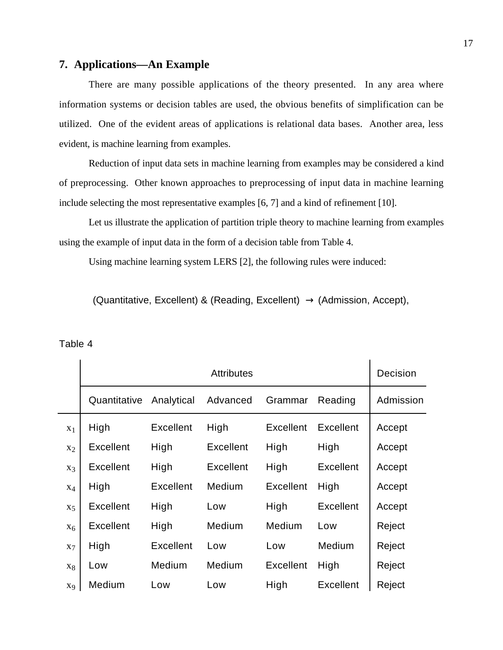# **7. Applications—An Example**

There are many possible applications of the theory presented. In any area where information systems or decision tables are used, the obvious benefits of simplification can be utilized. One of the evident areas of applications is relational data bases. Another area, less evident, is machine learning from examples.

Reduction of input data sets in machine learning from examples may be considered a kind of preprocessing. Other known approaches to preprocessing of input data in machine learning include selecting the most representative examples [6, 7] and a kind of refinement [10].

Let us illustrate the application of partition triple theory to machine learning from examples using the example of input data in the form of a decision table from Table 4.

Using machine learning system LERS [2], the following rules were induced:

(Quantitative, Excellent) & (Reading, Excellent)  $\rightarrow$  (Admission, Accept),

|                | <b>Attributes</b> |                  |                  |                  | Decision         |           |
|----------------|-------------------|------------------|------------------|------------------|------------------|-----------|
|                | Quantitative      | Analytical       | Advanced         | Grammar          | Reading          | Admission |
| $X_1$          | High              | <b>Excellent</b> | High             | Excellent        | <b>Excellent</b> | Accept    |
| $x_2$          | <b>Excellent</b>  | High             | <b>Excellent</b> | High             | High             | Accept    |
| $X_3$          | <b>Excellent</b>  | High             | <b>Excellent</b> | High             | <b>Excellent</b> | Accept    |
| $X_4$          | High              | <b>Excellent</b> | Medium           | <b>Excellent</b> | High             | Accept    |
| X <sub>5</sub> | <b>Excellent</b>  | High             | Low              | High             | <b>Excellent</b> | Accept    |
| $X_6$          | <b>Excellent</b>  | High             | Medium           | Medium           | Low              | Reject    |
| $X_7$          | High              | <b>Excellent</b> | Low              | Low              | Medium           | Reject    |
| $X_8$          | Low               | Medium           | Medium           | <b>Excellent</b> | High             | Reject    |
| X <sub>9</sub> | Medium            | Low              | Low              | High             | <b>Excellent</b> | Reject    |

Table 4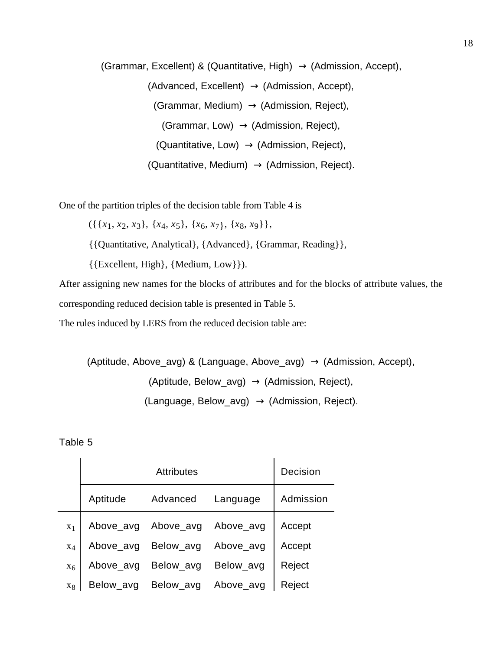(Grammar, Excellent) & (Quantitative, High)  $\rightarrow$  (Admission, Accept), (Advanced, Excellent)  $\rightarrow$  (Admission, Accept), (Grammar, Medium)  $\rightarrow$  (Admission, Reject), (Grammar, Low)  $\rightarrow$  (Admission, Reject),  $(Quantitative, Low) \rightarrow (Admission, Reject),$ (Quantitative, Medium)  $\rightarrow$  (Admission, Reject).

One of the partition triples of the decision table from Table 4 is

({{*x*1, *x*2, *x*3}, {*x*4, *x*5}, {*x*6, *x*7}, {*x*8, *x*9}},

{{Quantitative, Analytical}, {Advanced}, {Grammar, Reading}},

{{Excellent, High}, {Medium, Low}}).

After assigning new names for the blocks of attributes and for the blocks of attribute values, the corresponding reduced decision table is presented in Table 5.

The rules induced by LERS from the reduced decision table are:

```
(Aptitude, Above_avg) & (Language, Above_avg) \rightarrow (Admission, Accept),
   (Aptitude, Below_avg) \rightarrow (Admission, Reject),
  (Language, Below_avg) \rightarrow (Admission, Reject).
```
#### Table 5

|                |           | Decision  |           |           |
|----------------|-----------|-----------|-----------|-----------|
|                | Aptitude  | Advanced  | Language  | Admission |
| X <sub>1</sub> | Above_avg | Above_avg | Above_avg | Accept    |
| $X_4$          | Above_avg | Below_avg | Above_avg | Accept    |
| $X_6$          | Above_avg | Below_avg | Below_avg | Reject    |
| $X_{8}$        | Below_avg | Below_avg | Above_avg | Reject    |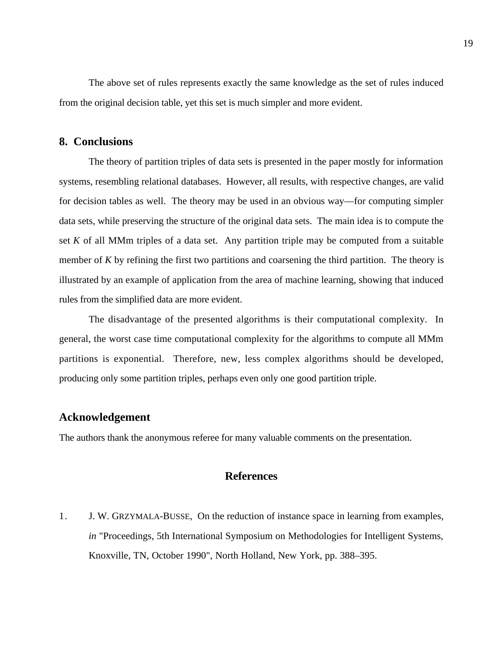The above set of rules represents exactly the same knowledge as the set of rules induced from the original decision table, yet this set is much simpler and more evident.

### **8. Conclusions**

The theory of partition triples of data sets is presented in the paper mostly for information systems, resembling relational databases. However, all results, with respective changes, are valid for decision tables as well. The theory may be used in an obvious way—for computing simpler data sets, while preserving the structure of the original data sets. The main idea is to compute the set *K* of all MMm triples of a data set. Any partition triple may be computed from a suitable member of *K* by refining the first two partitions and coarsening the third partition. The theory is illustrated by an example of application from the area of machine learning, showing that induced rules from the simplified data are more evident.

The disadvantage of the presented algorithms is their computational complexity. In general, the worst case time computational complexity for the algorithms to compute all MMm partitions is exponential. Therefore, new, less complex algorithms should be developed, producing only some partition triples, perhaps even only one good partition triple.

### **Acknowledgement**

The authors thank the anonymous referee for many valuable comments on the presentation.

### **References**

1. J. W. GRZYMALA-BUSSE, On the reduction of instance space in learning from examples, *in* "Proceedings, 5th International Symposium on Methodologies for Intelligent Systems, Knoxville, TN, October 1990", North Holland, New York, pp. 388–395.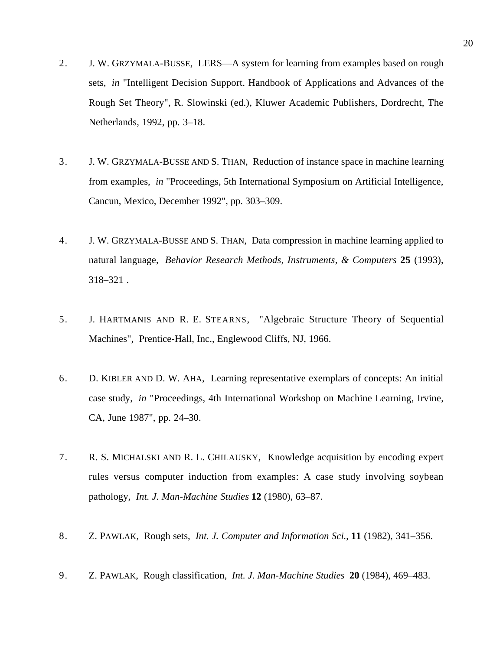- 2. J. W. GRZYMALA-BUSSE, LERS—A system for learning from examples based on rough sets, *in* "Intelligent Decision Support. Handbook of Applications and Advances of the Rough Set Theory", R. Slowinski (ed.), Kluwer Academic Publishers, Dordrecht, The Netherlands, 1992, pp. 3–18.
- 3. J. W. GRZYMALA-BUSSE AND S. THAN, Reduction of instance space in machine learning from examples, *in* "Proceedings, 5th International Symposium on Artificial Intelligence, Cancun, Mexico, December 1992", pp. 303–309.
- 4. J. W. GRZYMALA-BUSSE AND S. THAN, Data compression in machine learning applied to natural language, *Behavior Research Methods, Instruments, & Computers* **25** (1993), 318–321 .
- 5. J. HARTMANIS AND R. E. STEARNS, "Algebraic Structure Theory of Sequential Machines", Prentice-Hall, Inc., Englewood Cliffs, NJ, 1966.
- 6. D. KIBLER AND D. W. AHA, Learning representative exemplars of concepts: An initial case study, *in* "Proceedings, 4th International Workshop on Machine Learning, Irvine, CA, June 1987", pp. 24–30.
- 7. R. S. MICHALSKI AND R. L. CHILAUSKY, Knowledge acquisition by encoding expert rules versus computer induction from examples: A case study involving soybean pathology, *Int. J. Man-Machine Studies* **12** (1980), 63–87.
- 8. Z. PAWLAK, Rough sets, *Int. J. Computer and Information Sci.*, **11** (1982), 341–356.
- 9. Z. PAWLAK, Rough classification, *Int. J. Man-Machine Studies* **20** (1984), 469–483.